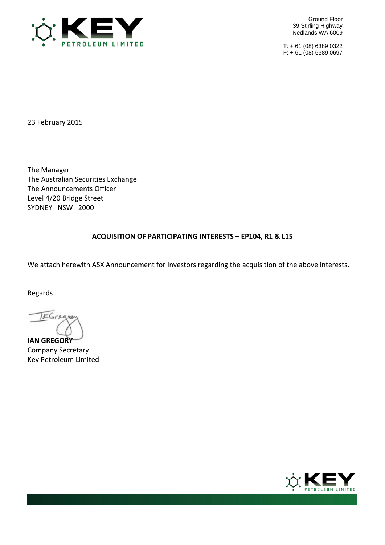

Ground Floor 39 Stirling Highway Nedlands WA 6009

T: + 61 (08) 6389 0322 F: + 61 (08) 6389 0697

23 February 2015

The Manager The Australian Securities Exchange The Announcements Officer Level 4/20 Bridge Street SYDNEY NSW 2000

## **ACQUISITION OF PARTICIPATING INTERESTS – EP104, R1 & L15**

We attach herewith ASX Announcement for Investors regarding the acquisition of the above interests.

Regards

JEGre

**IAN GREGORY** Company Secretary Key Petroleum Limited